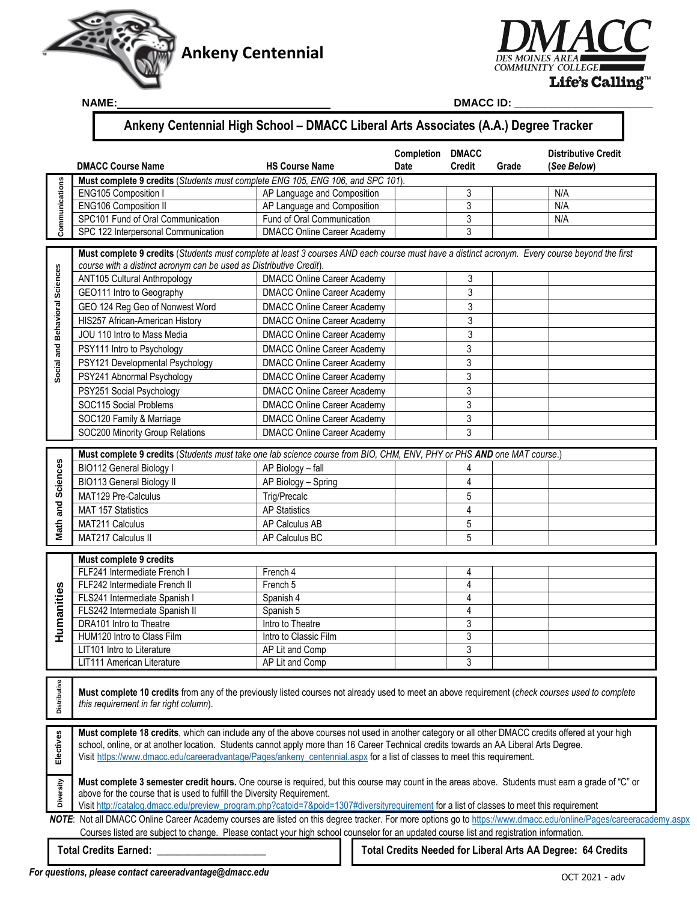

NAME:



**NAME: DMACC ID: \_\_\_\_\_\_\_\_\_\_\_\_\_\_\_\_\_\_\_\_\_\_\_** 

# **Ankeny Centennial High School – DMACC Liberal Arts Associates (A.A.) Degree Tracker**

|                                | <b>DMACC Course Name</b>                                                                                                                                                                                                                                                                    | <b>HS Course Name</b>                     | Completion<br><b>Date</b> | <b>DMACC</b><br><b>Credit</b>    | Grade | <b>Distributive Credit</b><br>(See Below)                   |
|--------------------------------|---------------------------------------------------------------------------------------------------------------------------------------------------------------------------------------------------------------------------------------------------------------------------------------------|-------------------------------------------|---------------------------|----------------------------------|-------|-------------------------------------------------------------|
|                                | Must complete 9 credits (Students must complete ENG 105, ENG 106, and SPC 101).                                                                                                                                                                                                             |                                           |                           |                                  |       |                                                             |
|                                | ENG105 Composition I                                                                                                                                                                                                                                                                        | AP Language and Composition               |                           | 3                                |       | N/A                                                         |
|                                | <b>ENG106 Composition II</b>                                                                                                                                                                                                                                                                | AP Language and Composition               |                           | 3                                |       | N/A                                                         |
| Communications                 | SPC101 Fund of Oral Communication                                                                                                                                                                                                                                                           | Fund of Oral Communication                |                           | 3                                |       | N/A                                                         |
|                                | SPC 122 Interpersonal Communication                                                                                                                                                                                                                                                         | <b>DMACC Online Career Academy</b>        |                           | 3                                |       |                                                             |
|                                | Must complete 9 credits (Students must complete at least 3 courses AND each course must have a distinct acronym. Every course beyond the first                                                                                                                                              |                                           |                           |                                  |       |                                                             |
| Social and Behavioral Sciences | course with a distinct acronym can be used as Distributive Credit).                                                                                                                                                                                                                         |                                           |                           |                                  |       |                                                             |
|                                | ANT105 Cultural Anthropology                                                                                                                                                                                                                                                                | <b>DMACC Online Career Academy</b>        |                           | 3                                |       |                                                             |
|                                | GEO111 Intro to Geography                                                                                                                                                                                                                                                                   | <b>DMACC Online Career Academy</b>        |                           | 3                                |       |                                                             |
|                                | GEO 124 Reg Geo of Nonwest Word                                                                                                                                                                                                                                                             | <b>DMACC Online Career Academy</b>        |                           | 3                                |       |                                                             |
|                                | HIS257 African-American History                                                                                                                                                                                                                                                             | <b>DMACC Online Career Academy</b>        |                           | 3                                |       |                                                             |
|                                | JOU 110 Intro to Mass Media                                                                                                                                                                                                                                                                 | <b>DMACC Online Career Academy</b>        |                           | 3                                |       |                                                             |
|                                | PSY111 Intro to Psychology                                                                                                                                                                                                                                                                  | <b>DMACC Online Career Academy</b>        |                           | 3                                |       |                                                             |
|                                | PSY121 Developmental Psychology                                                                                                                                                                                                                                                             | <b>DMACC Online Career Academy</b>        |                           | 3                                |       |                                                             |
|                                | PSY241 Abnormal Psychology                                                                                                                                                                                                                                                                  | <b>DMACC Online Career Academy</b>        |                           | 3                                |       |                                                             |
|                                | PSY251 Social Psychology                                                                                                                                                                                                                                                                    | <b>DMACC Online Career Academy</b>        |                           | 3                                |       |                                                             |
|                                | SOC115 Social Problems                                                                                                                                                                                                                                                                      | <b>DMACC Online Career Academy</b>        |                           | 3                                |       |                                                             |
|                                | SOC120 Family & Marriage                                                                                                                                                                                                                                                                    | <b>DMACC Online Career Academy</b>        |                           | 3                                |       |                                                             |
|                                | SOC200 Minority Group Relations                                                                                                                                                                                                                                                             | <b>DMACC Online Career Academy</b>        |                           | 3                                |       |                                                             |
|                                |                                                                                                                                                                                                                                                                                             |                                           |                           |                                  |       |                                                             |
| Math and Sciences              | Must complete 9 credits (Students must take one lab science course from BIO, CHM, ENV, PHY or PHS AND one MAT course.)                                                                                                                                                                      |                                           |                           |                                  |       |                                                             |
|                                | BIO112 General Biology I                                                                                                                                                                                                                                                                    | AP Biology - fall                         |                           | 4                                |       |                                                             |
|                                | <b>BIO113 General Biology II</b>                                                                                                                                                                                                                                                            | AP Biology - Spring                       |                           | 4                                |       |                                                             |
|                                | MAT129 Pre-Calculus                                                                                                                                                                                                                                                                         | Trig/Precalc                              |                           | 5                                |       |                                                             |
|                                | MAT 157 Statistics                                                                                                                                                                                                                                                                          | <b>AP Statistics</b>                      |                           | $\overline{4}$                   |       |                                                             |
|                                | MAT211 Calculus                                                                                                                                                                                                                                                                             | AP Calculus AB                            |                           | 5                                |       |                                                             |
|                                | MAT217 Calculus II                                                                                                                                                                                                                                                                          | AP Calculus BC                            |                           | 5                                |       |                                                             |
|                                |                                                                                                                                                                                                                                                                                             |                                           |                           |                                  |       |                                                             |
|                                | Must complete 9 credits                                                                                                                                                                                                                                                                     |                                           |                           |                                  |       |                                                             |
|                                | FLF241 Intermediate French I                                                                                                                                                                                                                                                                | French 4                                  |                           | 4                                |       |                                                             |
|                                | FLF242 Intermediate French II                                                                                                                                                                                                                                                               | French 5                                  |                           | 4                                |       |                                                             |
|                                | FLS241 Intermediate Spanish I                                                                                                                                                                                                                                                               | Spanish 4                                 |                           | $\overline{4}$<br>$\overline{4}$ |       |                                                             |
|                                | FLS242 Intermediate Spanish II                                                                                                                                                                                                                                                              | Spanish 5                                 |                           |                                  |       |                                                             |
| Humanities                     | DRA101 Intro to Theatre<br>HUM120 Intro to Class Film                                                                                                                                                                                                                                       | Intro to Theatre<br>Intro to Classic Film |                           | 3<br>3                           |       |                                                             |
|                                |                                                                                                                                                                                                                                                                                             |                                           |                           |                                  |       |                                                             |
|                                | LIT101 Intro to Literature<br>LIT111 American Literature                                                                                                                                                                                                                                    | AP Lit and Comp<br>AP Lit and Comp        |                           | 3<br>3                           |       |                                                             |
|                                |                                                                                                                                                                                                                                                                                             |                                           |                           |                                  |       |                                                             |
|                                |                                                                                                                                                                                                                                                                                             |                                           |                           |                                  |       |                                                             |
| Distributive                   | Must complete 10 credits from any of the previously listed courses not already used to meet an above requirement (check courses used to complete<br>this requirement in far right column).                                                                                                  |                                           |                           |                                  |       |                                                             |
|                                |                                                                                                                                                                                                                                                                                             |                                           |                           |                                  |       |                                                             |
|                                |                                                                                                                                                                                                                                                                                             |                                           |                           |                                  |       |                                                             |
| Electives                      | Must complete 18 credits, which can include any of the above courses not used in another category or all other DMACC credits offered at your high<br>school, online, or at another location. Students cannot apply more than 16 Career Technical credits towards an AA Liberal Arts Degree. |                                           |                           |                                  |       |                                                             |
|                                | Visit https://www.dmacc.edu/careeradvantage/Pages/ankeny_centennial.aspx for a list of classes to meet this requirement.                                                                                                                                                                    |                                           |                           |                                  |       |                                                             |
|                                |                                                                                                                                                                                                                                                                                             |                                           |                           |                                  |       |                                                             |
|                                | Must complete 3 semester credit hours. One course is required, but this course may count in the areas above. Students must earn a grade of "C" or                                                                                                                                           |                                           |                           |                                  |       |                                                             |
| Diversity                      | above for the course that is used to fulfill the Diversity Requirement.                                                                                                                                                                                                                     |                                           |                           |                                  |       |                                                             |
|                                | Visit http://catalog.dmacc.edu/preview_program.php?catoid=7&poid=1307#diversityrequirement for a list of classes to meet this requirement                                                                                                                                                   |                                           |                           |                                  |       |                                                             |
|                                | NOTE: Not all DMACC Online Career Academy courses are listed on this degree tracker. For more options go to https://www.dmacc.edu/online/Pages/careeracademy.aspx                                                                                                                           |                                           |                           |                                  |       |                                                             |
|                                | Courses listed are subject to change. Please contact your high school counselor for an updated course list and registration information.                                                                                                                                                    |                                           |                           |                                  |       |                                                             |
|                                | <b>Total Credits Earned:</b> Total Credits Earned:                                                                                                                                                                                                                                          |                                           |                           |                                  |       | Total Credits Needed for Liberal Arts AA Degree: 64 Credits |
|                                |                                                                                                                                                                                                                                                                                             |                                           |                           |                                  |       |                                                             |